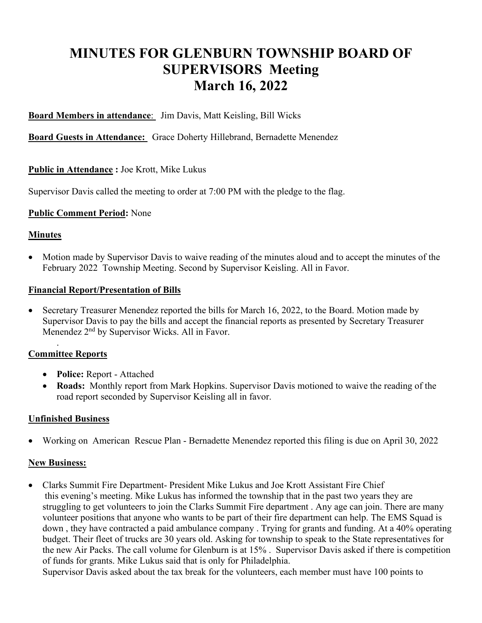# **MINUTES FOR GLENBURN TOWNSHIP BOARD OF SUPERVISORS Meeting March 16, 2022**

**Board Members in attendance**: Jim Davis, Matt Keisling, Bill Wicks

**Board Guests in Attendance:** Grace Doherty Hillebrand, Bernadette Menendez

# **Public in Attendance :** Joe Krott, Mike Lukus

Supervisor Davis called the meeting to order at 7:00 PM with the pledge to the flag.

# **Public Comment Period:** None

#### **Minutes**

• Motion made by Supervisor Davis to waive reading of the minutes aloud and to accept the minutes of the February 2022 Township Meeting. Second by Supervisor Keisling. All in Favor.

#### **Financial Report/Presentation of Bills**

• Secretary Treasurer Menendez reported the bills for March 16, 2022, to the Board. Motion made by Supervisor Davis to pay the bills and accept the financial reports as presented by Secretary Treasurer Menendez 2<sup>nd</sup> by Supervisor Wicks. All in Favor.

# **Committee Reports**

.

- **Police:** Report Attached
- **Roads:** Monthly report from Mark Hopkins. Supervisor Davis motioned to waive the reading of the road report seconded by Supervisor Keisling all in favor.

# **Unfinished Business**

• Working on American Rescue Plan - Bernadette Menendez reported this filing is due on April 30, 2022

# **New Business:**

• Clarks Summit Fire Department- President Mike Lukus and Joe Krott Assistant Fire Chief this evening's meeting. Mike Lukus has informed the township that in the past two years they are struggling to get volunteers to join the Clarks Summit Fire department . Any age can join. There are many volunteer positions that anyone who wants to be part of their fire department can help. The EMS Squad is down , they have contracted a paid ambulance company . Trying for grants and funding. At a 40% operating budget. Their fleet of trucks are 30 years old. Asking for township to speak to the State representatives for the new Air Packs. The call volume for Glenburn is at 15% . Supervisor Davis asked if there is competition of funds for grants. Mike Lukus said that is only for Philadelphia.

Supervisor Davis asked about the tax break for the volunteers, each member must have 100 points to